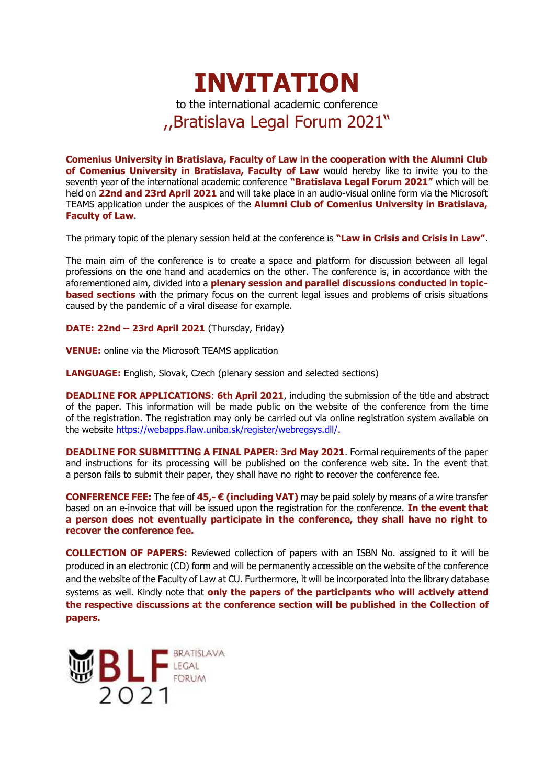

**Comenius University in Bratislava, Faculty of Law in the cooperation with the Alumni Club of Comenius University in Bratislava, Faculty of Law** would hereby like to invite you to the seventh year of the international academic conference **"Bratislava Legal Forum 2021"** which will be held on **22nd and 23rd April 2021** and will take place in an audio-visual online form via the Microsoft TEAMS application under the auspices of the **Alumni Club of Comenius University in Bratislava, Faculty of Law**.

The primary topic of the plenary session held at the conference is **"Law in Crisis and Crisis in Law"**.

The main aim of the conference is to create a space and platform for discussion between all legal professions on the one hand and academics on the other. The conference is, in accordance with the aforementioned aim, divided into a **plenary session and parallel discussions conducted in topicbased sections** with the primary focus on the current legal issues and problems of crisis situations caused by the pandemic of a viral disease for example.

**DATE: 22nd – 23rd April 2021** (Thursday, Friday)

**VENUE:** online via the Microsoft TEAMS application

**LANGUAGE:** English, Slovak, Czech (plenary session and selected sections)

**DEADLINE FOR APPLICATIONS**: **6th April 2021**, including the submission of the title and abstract of the paper. This information will be made public on the website of the conference from the time of the registration. The registration may only be carried out via online registration system available on the website [https://webapps.flaw.uniba.sk/register/webregsys.dll/.](https://webapps.flaw.uniba.sk/register/webregsys.dll/)

**DEADLINE FOR SUBMITTING A FINAL PAPER: 3rd May 2021**. Formal requirements of the paper and instructions for its processing will be published on the conference web site. In the event that a person fails to submit their paper, they shall have no right to recover the conference fee.

**CONFERENCE FEE:** The fee of **45,- € (including VAT)** may be paid solely by means of a wire transfer based on an e-invoice that will be issued upon the registration for the conference. **In the event that a person does not eventually participate in the conference, they shall have no right to recover the conference fee.**

**COLLECTION OF PAPERS:** Reviewed collection of papers with an ISBN No. assigned to it will be produced in an electronic (CD) form and will be permanently accessible on the website of the conference and the website of the Faculty of Law at CU. Furthermore, it will be incorporated into the library database systems as well. Kindly note that **only the papers of the participants who will actively attend the respective discussions at the conference section will be published in the Collection of papers.**

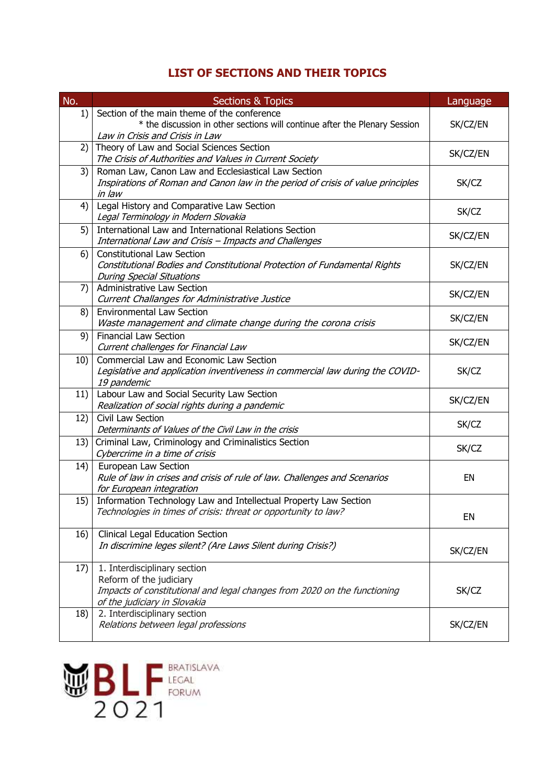# **LIST OF SECTIONS AND THEIR TOPICS**

| No. | <b>Sections &amp; Topics</b>                                                                                                                                        | Language |
|-----|---------------------------------------------------------------------------------------------------------------------------------------------------------------------|----------|
| 1)  | Section of the main theme of the conference<br>* the discussion in other sections will continue after the Plenary Session<br>Law in Crisis and Crisis in Law        | SK/CZ/EN |
| 2)  | Theory of Law and Social Sciences Section<br>The Crisis of Authorities and Values in Current Society                                                                | SK/CZ/EN |
| 3)  | Roman Law, Canon Law and Ecclesiastical Law Section<br>Inspirations of Roman and Canon law in the period of crisis of value principles<br>in law                    | SK/CZ    |
| 4)  | Legal History and Comparative Law Section<br>Legal Terminology in Modern Slovakia                                                                                   | SK/CZ    |
| 5)  | International Law and International Relations Section<br>International Law and Crisis - Impacts and Challenges                                                      | SK/CZ/EN |
| 6)  | <b>Constitutional Law Section</b><br>Constitutional Bodies and Constitutional Protection of Fundamental Rights<br><b>During Special Situations</b>                  | SK/CZ/EN |
| 7)  | <b>Administrative Law Section</b><br>Current Challanges for Administrative Justice                                                                                  | SK/CZ/EN |
| 8)  | <b>Environmental Law Section</b><br>Waste management and climate change during the corona crisis                                                                    | SK/CZ/EN |
| 9)  | <b>Financial Law Section</b><br>Current challenges for Financial Law                                                                                                | SK/CZ/EN |
| 10) | Commercial Law and Economic Law Section<br>Legislative and application inventiveness in commercial law during the COVID-<br>19 pandemic                             | SK/CZ    |
| 11) | Labour Law and Social Security Law Section<br>Realization of social rights during a pandemic                                                                        | SK/CZ/EN |
| 12) | Civil Law Section<br>Determinants of Values of the Civil Law in the crisis                                                                                          | SK/CZ    |
| 13) | Criminal Law, Criminology and Criminalistics Section<br>Cybercrime in a time of crisis                                                                              | SK/CZ    |
| 14) | European Law Section<br>Rule of law in crises and crisis of rule of law. Challenges and Scenarios<br>for European integration                                       | EN       |
| 15) | Information Technology Law and Intellectual Property Law Section<br>Technologies in times of crisis: threat or opportunity to law?                                  | EN       |
| 16) | <b>Clinical Legal Education Section</b><br>In discrimine leges silent? (Are Laws Silent during Crisis?)                                                             | SK/CZ/EN |
| 17) | 1. Interdisciplinary section<br>Reform of the judiciary<br>Impacts of constitutional and legal changes from 2020 on the functioning<br>of the judiciary in Slovakia | SK/CZ    |
| 18) | 2. Interdisciplinary section<br>Relations between legal professions                                                                                                 | SK/CZ/EN |